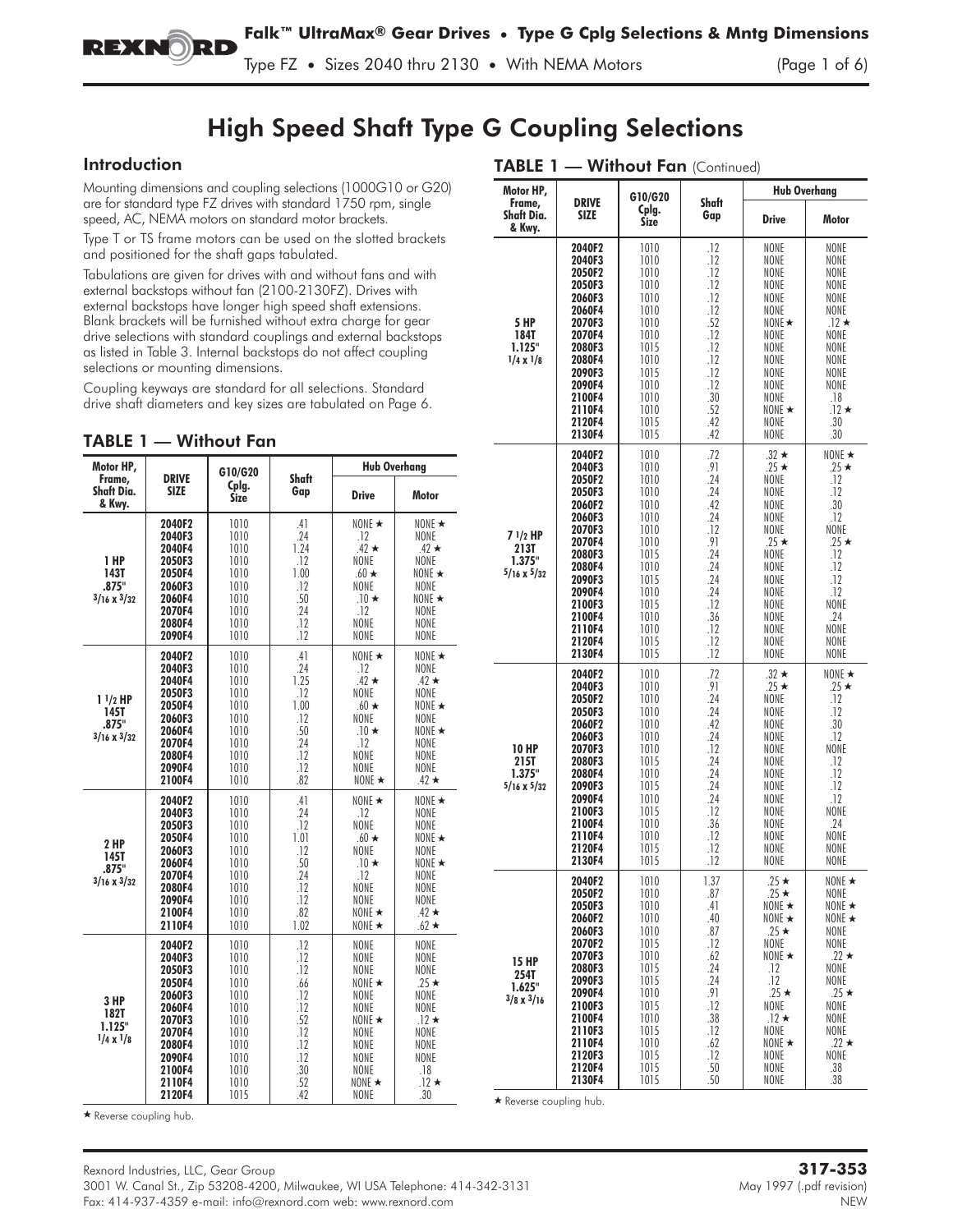Type FZ **•** Sizes 2040 thru 2130 **•** With NEMA Motors (Page 1 of 6)

# High Speed Shaft Type G Coupling Selections

### Introduction

Mounting dimensions and coupling selections (1000G10 or G20) are for standard type FZ drives with standard 1750 rpm, single speed, AC, NEMA motors on standard motor brackets.

Type T or TS frame motors can be used on the slotted brackets and positioned for the shaft gaps tabulated.

Tabulations are given for drives with and without fans and with external backstops without fan (2100-2130FZ). Drives with external backstops have longer high speed shaft extensions. Blank brackets will be furnished without extra charge for gear drive selections with standard couplings and external backstops as listed in Table 3. Internal backstops do not affect coupling selections or mounting dimensions.

Coupling keyways are standard for all selections. Standard drive shaft diameters and key sizes are tabulated on Page 6.

| TABLE 1 | — Without Fan |  |
|---------|---------------|--|
|---------|---------------|--|

| Motor HP,                                               |                                                                                                                                | G10/G20                                                                                              |                                                                                         |                                                                                                                              | <b>Hub Overhang</b>                                                                                                                      |
|---------------------------------------------------------|--------------------------------------------------------------------------------------------------------------------------------|------------------------------------------------------------------------------------------------------|-----------------------------------------------------------------------------------------|------------------------------------------------------------------------------------------------------------------------------|------------------------------------------------------------------------------------------------------------------------------------------|
| Frame,<br>Shaft Dia.<br>& Kwy.                          | <b>DRIVE</b><br><b>SIZE</b>                                                                                                    | Cplg.<br><b>Size</b>                                                                                 | Shaft<br>Gap                                                                            | <b>Drive</b>                                                                                                                 | <b>Motor</b>                                                                                                                             |
| 1 HP<br>143T<br>.875"<br>$3/16 \times 3/32$             | 2040F2<br>2040F3<br>2040F4<br>2050F3<br>2050F4<br>2060F3<br>2060F4<br>2070F4<br>2080F4<br>2090F4                               | 1010<br>1010<br>1010<br>1010<br>1010<br>1010<br>1010<br>1010<br>1010<br>1010                         | .41<br>.24<br>1.24<br>.12<br>1.00<br>.12<br>.50<br>.24<br>.12<br>.12                    | NONE $\star$<br>.12<br>$.42 \star$<br>NONE<br>$.60 \star$<br>NONE<br>$.10*$<br>.12<br>NONE<br>NONE                           | NONE $\star$<br>NONE<br>$.42 \star$<br><b>NONE</b><br>NONE $\star$<br><b>NONE</b><br>NONE $\star$<br><b>NONE</b><br>NONE<br>NONE         |
| $11/2$ HP<br><b>145T</b><br>.875"<br>$3/16 \times 3/32$ | 2040F2<br>2040F3<br>2040F4<br>2050F3<br>2050F4<br>2060F3<br>2060F4<br>2070F4<br>2080F4<br>2090F4<br>2100F4                     | 1010<br>1010<br>1010<br>1010<br>1010<br>1010<br>1010<br>1010<br>1010<br>1010<br>1010                 | .41<br>.24<br>1.25<br>.12<br>1.00<br>.12<br>.50<br>.24<br>.12<br>.12<br>.82             | NONE $\star$<br>.12<br>$.42 \star$<br>NONE<br>$.60 \star$<br>NONE<br>$.10*$<br>.12<br>NONE<br>NONE<br>NONE $\star$           | NONE $\star$<br>NONE<br>$.42 \star$<br>NONE<br>NONE $\star$<br>NONE<br>NONE $\star$<br>NONE<br>NONE<br>NONE<br>$.42 \star$               |
| 2 HP<br><b>145T</b><br>.875"<br>$3/16 \times 3/32$      | 2040F2<br>2040F3<br>2050F3<br>2050F4<br>2060F3<br>2060F4<br>2070F4<br>2080F4<br>2090F4<br>2100F4<br>2110F4                     | 1010<br>1010<br>1010<br>1010<br>1010<br>1010<br>1010<br>1010<br>1010<br>1010<br>1010                 | .41<br>.24<br>.12<br>1.01<br>.12<br>.50<br>.24<br>.12<br>.12<br>.82<br>1.02             | NONE $\star$<br>.12<br>NONE<br>$.60 \star$<br>NONE<br>$.10*$<br>.12<br>NONE<br>NONE<br>NONE $\star$<br>NONE $\star$          | NONE $\star$<br><b>NONE</b><br>NONE<br>NONE $\star$<br>NONE<br>NONE $\star$<br><b>NONE</b><br>NONE<br>NONE<br>$.42 \star$<br>$.62 \star$ |
| 3 HP<br>182T<br>1.125"<br>$1/4 \times 1/8$              | 2040F2<br>2040F3<br>2050F3<br>2050F4<br>2060F3<br>2060F4<br>2070F3<br>2070F4<br>2080F4<br>2090F4<br>2100F4<br>2110F4<br>2120F4 | 1010<br>1010<br>1010<br>1010<br>1010<br>1010<br>1010<br>1010<br>1010<br>1010<br>1010<br>1010<br>1015 | .12<br>.12<br>.12<br>.66<br>.12<br>.12<br>.52<br>.12<br>.12<br>.12<br>.30<br>.52<br>.42 | NONE<br>NONE<br>NONE<br>NONE $\star$<br>NONE<br>NONE<br>NONE $\star$<br>NONE<br>NONE<br>NONE<br>NONE<br>NONE $\star$<br>NONE | NONE<br>NONE<br>NONE<br>$.25 \star$<br>NONE<br>NONE<br>$.12 \star$<br>NONE<br>NONE<br>NONE<br>.18<br>$.12 \star$<br>.30                  |

|  | $\textsf{TABLE 1} \textcolor{red}{\boldsymbol{-}} \textsf{Without Fan}$ (Continued) |
|--|-------------------------------------------------------------------------------------|
|--|-------------------------------------------------------------------------------------|

| Motor HP,                                           |                                                                                                                                                                        | G10/G20                                                                                                                              |                                                                                                                      | <b>Hub Overhang</b>                                                                                                                                                                             |                                                                                                                                                                           |  |
|-----------------------------------------------------|------------------------------------------------------------------------------------------------------------------------------------------------------------------------|--------------------------------------------------------------------------------------------------------------------------------------|----------------------------------------------------------------------------------------------------------------------|-------------------------------------------------------------------------------------------------------------------------------------------------------------------------------------------------|---------------------------------------------------------------------------------------------------------------------------------------------------------------------------|--|
| Frame,<br>Shaft Dia.<br>& Kwy.                      | <b>DRIVE</b><br>SIZE                                                                                                                                                   | Cplg.<br>Size                                                                                                                        | Shaft<br>Gap                                                                                                         | <b>Drive</b>                                                                                                                                                                                    | Motor                                                                                                                                                                     |  |
| 5 HP<br>184T<br>1.125"<br>$1/4 \times 1/8$          | 2040F2<br>2040F3<br>2050F2<br>2050F3<br>2060F3<br>2060F4<br>2070F3<br>2070F4<br>2080F3<br>2080F4<br>2090F3<br>2090F4<br>2100F4<br>2110F4<br>2120F4<br>2130F4           | 1010<br>1010<br>1010<br>1010<br>1010<br>1010<br>1010<br>1010<br>1015<br>1010<br>1015<br>1010<br>1010<br>1010<br>1015<br>1015         | .12<br>.12<br>.12<br>.12<br>.12<br>.12<br>.52<br>.12<br>.12<br>.12<br>.12<br>.12<br>.30<br>.52<br>.42<br>.42         | NONE<br>NONE<br>NONE<br>NONE<br>NONE<br>NONE<br>NONE $\star$<br>NONE<br>NONE<br>NONE<br>NONE<br>NONE<br>NONE<br>NONE $\star$<br>NONE<br>NONE                                                    | NONE<br>NONE<br>NONE<br>NONE<br>NONE<br>NONE<br>$.12 \star$<br>NONE<br>NONE<br>NONE<br>NONE<br>NONE<br>.18<br>$.12 \star$<br>.30<br>.30                                   |  |
| 7 1/2 HP<br>213T<br>1.375"<br>$5/16 \times 5/32$    | 2040F2<br>2040F3<br>2050F2<br>2050F3<br>2060F2<br>2060F3<br>2070F3<br>2070F4<br>2080F3<br>2080F4<br>2090F3<br>2090F4<br>2100F3<br>2100F4<br>2110F4<br>2120F4<br>2130F4 | 1010<br>1010<br>1010<br>1010<br>1010<br>1010<br>1010<br>1010<br>1015<br>1010<br>1015<br>1010<br>1015<br>1010<br>1010<br>1015<br>1015 | .72<br>.91<br>.24<br>.24<br>.42<br>.24<br>.12<br>.91<br>.24<br>24<br>.24<br>.24<br>.12<br>.36<br>.12<br>.12<br>.12   | $.32 \star$<br>$.25*$<br>NONE<br>NONE<br>NONE<br>NONE<br>NONE<br>$.25*$<br>NONE<br>NONE<br>NONE<br>NONE<br>NONE<br>NONE<br>NONE<br>NONE<br>NONE                                                 | NONE $\star$<br>$.25 \star$<br>.12<br>.12<br>.30<br>.12<br>NONE<br>$.25 \star$<br>.12<br>.12<br>.12<br>.12<br>NONE<br>.24<br>NONE<br><b>NONE</b><br>NONE                  |  |
| 10 HP<br>215T<br>1.375"<br>$5/16 \times 5/32$       | 2040F2<br>2040F3<br>2050F2<br>2050F3<br>2060F2<br>2060F3<br>2070F3<br>2080F3<br>2080F4<br>2090F3<br>2090F4<br>2100F3<br>2100F4<br>2110F4<br>2120F4<br>2130F4           | 1010<br>1010<br>1010<br>1010<br>1010<br>1010<br>1010<br>1015<br>1010<br>1015<br>1010<br>1015<br>1010<br>1010<br>1015<br>1015         | .72<br>.91<br>.24<br>.24<br>.42<br>.24<br>.12<br>.24<br>.24<br>.24<br>.24<br>.12<br>.36<br>.12<br>.12<br>.12         | $.32 \star$<br>$.25 \star$<br>NONE<br>NONE<br>NONE<br>NONE<br>NONE<br>NONE<br>NONE<br>NONE<br>NONE<br>NONE<br>NONE<br>NONE<br>NONE<br>NONE                                                      | NONE $\star$<br>$.25 \star$<br>.12<br>.12<br>.30<br>.12<br>NONE<br>.12<br>.12<br>.12<br>.12<br>NONE<br>.24<br>NONE<br>NONE<br>NONE                                        |  |
| <b>15 HP</b><br>254T<br>1.625"<br>$3/8 \times 3/16$ | 2040F2<br>2050F2<br>2050F3<br>2060F2<br>2060F3<br>2070F2<br>2070F3<br>2080F3<br>2090F3<br>2090F4<br>2100F3<br>2100F4<br>2110F3<br>2110F4<br>2120F3<br>2120F4<br>2130F4 | 1010<br>1010<br>1010<br>1010<br>1010<br>1015<br>1010<br>1015<br>1015<br>1010<br>1015<br>1010<br>1015<br>1010<br>1015<br>1015<br>1015 | 1.37<br>.87<br>.41<br>.40<br>.87<br>.12<br>.62<br>.24<br>.24<br>.91<br>.12<br>.38<br>.12<br>.62<br>.12<br>.50<br>.50 | $.25 \star$<br>$.25 \star$<br>NONE $\star$<br>NONE ★<br>$.25 \star$<br>NONE<br>NONE $\star$<br>.12<br>.12<br>$.25 \star$<br>NONE<br>$.12 \star$<br>NONE<br>NONE $\star$<br>NONE<br>NONE<br>NONE | NONE ★<br>NONE<br>NONE $\star$<br>NONE $\star$<br>NONE<br><b>NONE</b><br>$22 \star$<br>NONE<br>NONE<br>$25*$<br>NONE<br>NONE<br>NONE<br>$.22 \star$<br>NONE<br>.38<br>.38 |  |

\* Reverse coupling hub.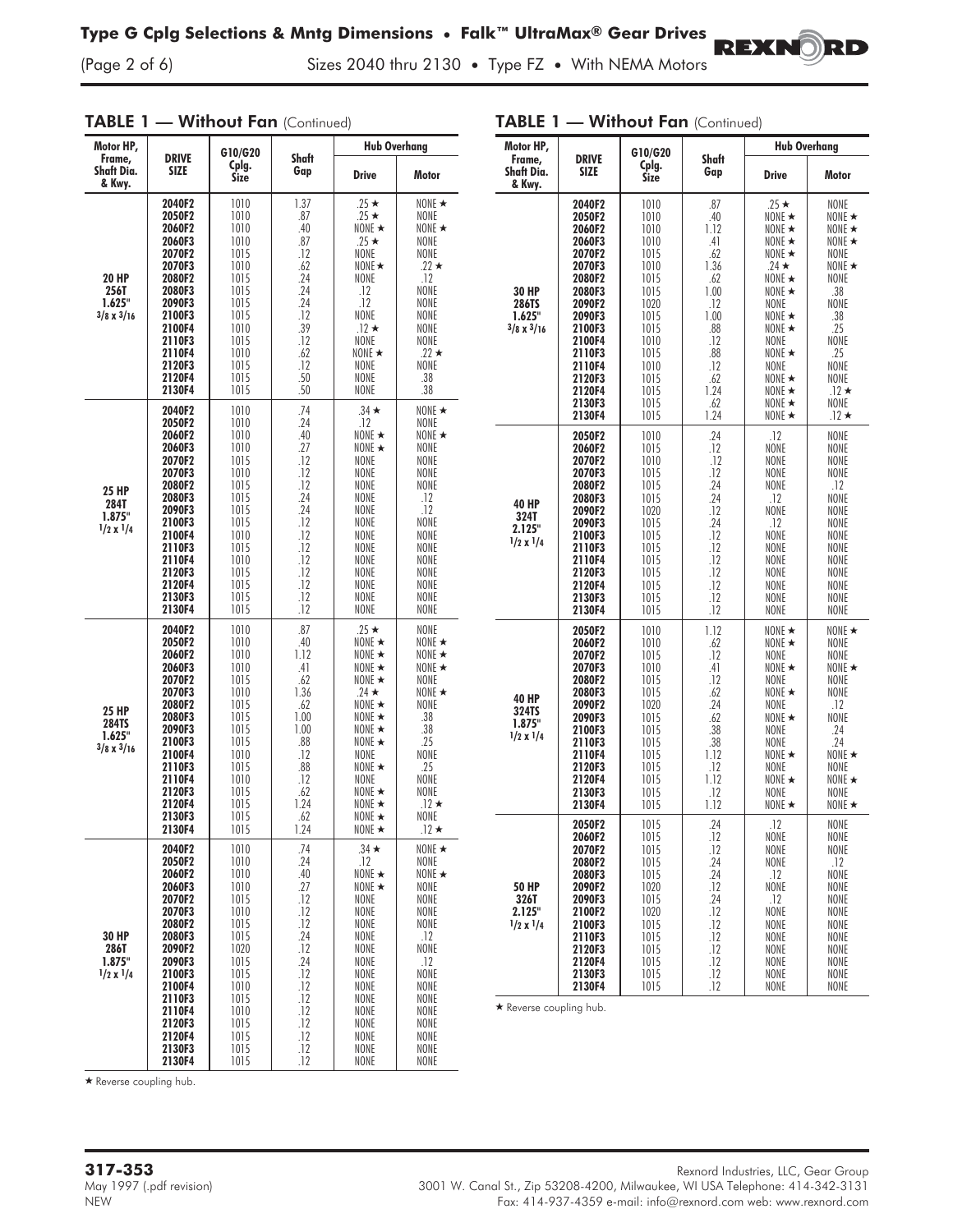(Page 2 of 6) Sizes 2040 thru 2130 **•** Type FZ **•** With NEMA Motors

#### TABLE 1 - Without Fan (Continued) Motor HP, Frame, Shaft Dia. & Kwy. DRIVE SIZE G10/G20 Cplg. Size Shaft Gap Hub Overhang Drive **Motor** 20 HP 256T 1.625" 3/8 x 3/16 **2040F2** 1010 1.37 .25  $\star$ <br>**2050F2** 1010 .87 .25  $\star$  $\star$  | NONE  $\star$ **2050F2** 1010 .87 .25  $\star$ <br>**2060F2** 1010 .40 NONE NONE **2060F2** 1010 .40 NONE -<br>**2060F3** 1010 .87 .25 \*  $\star$  | NONE  $\star$ 2060F3 1010 .87 .25 ★<br>2070F2 1015 .12 NONE NONE<br>NONF 2070F2 1015 .12 NONE<br>2070F3 1010 .62 NONE★ 2070F3 1010 .62 NONE<br>2080F2 1015 .24 NONE  $\star$  22  $\star$ 2080F2 | 1015 | .24 | NONE | .12 2080F3 1015 .24 .12 NONE<br>2090F3 1015 .24 .12 NONE 2090F3 1015 .24 .12 NONE<br>2100F3 1015 .12 NONE NONE 2100F3 1015 .12 NONE<br>2100F4 1010 .39 .12★ 2100F4 | 1010 | .39 | .12 ★<br>2110F3 | 1015 | .12 | NONE NONE<br>NONE 2110F3 1015 12 NONE<br>2110F4 1010 .62 NONE★ 2110F4 1010 .62 NONE -<br>2120F3 1015 .12 NONE  $\star$  22  $\star$ 2120F3 1015 .12 NONE NONE<br>2120F4 1015 .50 NONE .38 **2120F4** 1015 .50 NONE .38<br>**2130F4** 1015 .50 NONE .38 2130F4 25 HP 284T 1.875" 1/2 x 1/4 **2040F2** 1010 74 .34  $\star$ <br>**2050F2** 1010 .24 .12  $\star$  NONE  $\star$ 2050F2 1010 .24 .12 NONE **2060F2** 1010 .40 NONE  $\star$ <br>**2060F3** 1010 .27 NONE  $\star$  $\star$  NONE  $\star$ 2060F3 1010 .27 NONE ★<br>2070F2 1015 .12 NONE NONE<br>NONE 2070F2 1015 .12 NONE NONE 2070F3 1010 .12 NONE NONE<br>2080F2 1015 .12 NONE NONE 2080F2 1015 .12 NONE NONE **2080F3** 1015 .24 NONE .12<br>**2090F3** 1015 .24 NONE .12 2090F3 1015 .24 NONE .12 2100F3 1015 .12 NONE NONE 2100F4 | 1010 | .12 | NONE | NONE 2110F3 | 1015 | .12 | NONE | NONE 2110F4 | 1010 | .12 | NONE | NONE 2120F3 1015 .12 NONE NONE 2120F4 | 1015 | .12 | NONE | NONE 2130F3 1015 .12 NONE NONE 2130F4 | 1015 | .12 | NONE | NONE 25 HP 284TS 1.625"  $3/8 \times 3/16$ **2040F2** 1010 .87 .25  $\star$  NONE  $2050F2$  1010 .40 NONE  $\star$  $NONF$   $\star$ **2060F2** 1010 1.12 NONE ★<br>**2060F3** 1010 41 NONE ★ NONE  $\star$ **2060F3** 1010 41 NONE  $\star$ <br>**2070F2** 1015 62 NONE  $\star$  $\star$  | NONE  $\star$ 2070F2 1015 62 MONE  $\star$  NONE **2070F3** 1010 1.36 24  $\star$  $24 \star$  NONE  $\star$ **2080F2** 1015 62 NONE  $\star$  **2080F3** 1015 100 NONE  $2080F3$  | 1015 | 1.00 | NONE $\star$  .38 2090F3 1015 1.00 NONE★<br>2100F3 1015 .88 NONE★ .38 2100F3 1015 .88 NONE<br>2100F4 1010 .12 NONE .25<br>NONE 2100F4 1010 .12 NONE<br>2110F3 1015 .88 NONE★ 2110F3 1015 88 NONE .25<br>NONE 2110F4 1010 .12 NONE<br>2120F3 1015 .62 NONE★ **2120F3** 1015 .62 NONE  $\star$ <br>**2120F4** 1015 1.24 NONE  $\star$  NONE **2120F4** 1015 1.24 NONE  $\star$ <br>**2130F3** 1015 62 NONE  $\star$  $\star$  .12  $\star$ **2130F3** 1015 .62 NONE  $\star$ <br>**2130F4** 1015 1.24 NONE  $\star$  NONE 2130F4  $\star$  .12  $\star$ 30 HP 286T 1.875" 1/2 x 1/4 **2040F2** 1010 .74 .34  $\star$  **2050F2** 1010 .24 .12  $\star$  NONE  $\star$ 2050F2 1010 .24 .12 NONE<br>2060F2 1010 .40 NONE★ NONE  $2060F2$  1010 .40 NONE  $\star$ <br>2060F3 1010 .27 NONE  $\star$  $\star$  NONE  $\star$ 2060F3 1010 .27 NONE<br>2070F2 1015 .12 NONE NONE<br>NONE 2070F2 1015 .12 NONE NONE<br>2070F3 1010 .12 NONE NONE 2070F3 1010 .12 NONE NONE 2080F2 | 1015 | 12 | NONE | NONE<br>2080F3 | 1015 | 24 | NONE | 12 2080F3 | 1015 | 24 | NONE | .12<br>2090F2 | 1020 | 12 | NONE | NONE **2090F2** 1020 12<br>**2090F3** 1015 .24 NONE 12 2090F3 1015 .24 NONE .12 2100F3 | 1015 | .12 | NONE | NONE 2100F4 1010 .12 NONE NONE NONE<br>2110F3 1015 .12 NONE NONE 2110F3 1015 .12 NONE NONE 2110F4 | 1010 | .12 | NONE | NONE 2120F3 1015 .12 NONE NONE 2120F4 | 1015 | .12 | NONE | NONE 2130F3 | 1015 | .12 | NONE | NONE 2130F4 | 1015 | .12 | NONE | NONE

|                                                     |                                                                                                                                                                                  |                                                                                                                                              | TABLE 1 - Without Fan (Continued)                                                                                                |                                                                                                                                                                                                                                                                    |                                                                                                                                                                                               |  |
|-----------------------------------------------------|----------------------------------------------------------------------------------------------------------------------------------------------------------------------------------|----------------------------------------------------------------------------------------------------------------------------------------------|----------------------------------------------------------------------------------------------------------------------------------|--------------------------------------------------------------------------------------------------------------------------------------------------------------------------------------------------------------------------------------------------------------------|-----------------------------------------------------------------------------------------------------------------------------------------------------------------------------------------------|--|
| Motor HP,                                           |                                                                                                                                                                                  | G10/G20                                                                                                                                      |                                                                                                                                  | <b>Hub Overhang</b>                                                                                                                                                                                                                                                |                                                                                                                                                                                               |  |
| Frame,<br>Shaft Dia.<br>& Kwy.                      | <b>DRIVE</b><br><b>SIZE</b>                                                                                                                                                      | Cplg.<br>Size                                                                                                                                | Shaft<br>Gap                                                                                                                     | <b>Drive</b>                                                                                                                                                                                                                                                       | Motor                                                                                                                                                                                         |  |
| 30 HP<br>286TS<br>1.625"<br>$3/8 \times 3/16$       | 2040F2<br>2050F2<br>2060F2<br>2060F3<br>2070F2<br>2070F3<br>2080F2<br>2080F3<br>2090F2<br>2090F3<br>2100F3<br>2100F4<br>2110F3<br>2110F4<br>2120F3<br>2120F4<br>2130F3<br>2130F4 | 1010<br>1010<br>1010<br>1010<br>1015<br>1010<br>1015<br>1015<br>1020<br>1015<br>1015<br>1010<br>1015<br>1010<br>1015<br>1015<br>1015<br>1015 | .87<br>.40<br>1.12<br>.41<br>.62<br>1.36<br>.62<br>1.00<br>.12<br>1.00<br>.88<br>.12<br>.88<br>.12<br>.62<br>1.24<br>.62<br>1.24 | $.25 \star$<br>NONE $\star$<br>NONE $\star$<br>NONE $\star$<br>NONE $\star$<br>$.24 \star$<br>NONE $\star$<br>NONE $\star$<br>NONE<br>NONE $\star$<br>NONE $\star$<br>NONE<br>NONE $\star$<br>NONE<br>NONE $\star$<br>NONE $\star$<br>NONE $\star$<br>NONE $\star$ | NONE<br>NONE $\star$<br>NONE $\star$<br>NONE $\star$<br>NONE<br>NONE $\star$<br><b>NONE</b><br>.38<br>NONE<br>.38<br>.25<br>NONE<br>.25<br>NONE<br>NONE<br>$.12 \star$<br>NONE<br>.12 $\star$ |  |
| 40 HP<br>324T<br>2.125"<br>$1/2 \times 1/4$         | 2050F2<br>2060F2<br>2070F2<br>2070F3<br>2080F2<br>2080F3<br>2090F2<br>2090F3<br>2100F3<br>2110F3<br>2110F4<br>2120F3<br>2120F4<br>2130F3<br>2130F4                               | 1010<br>1015<br>1010<br>1015<br>1015<br>1015<br>1020<br>1015<br>1015<br>1015<br>1015<br>1015<br>1015<br>1015<br>1015                         | .24<br>.12<br>.12<br>.12<br>.24<br>.24<br>.12<br>.24<br>.12<br>.12<br>.12<br>.12<br>.12<br>.12<br>.12                            | .12<br>NONE<br>NONE<br>NONE<br>NONE<br>.12<br><b>NONE</b><br>.12<br>NONE<br>NONE<br>NONE<br>NONE<br>NONE<br>NONE<br>NONE                                                                                                                                           | NONE<br>NONE<br>NONE<br>NONE<br>.12<br>NONE<br><b>NONE</b><br>NONE<br><b>NONE</b><br>NONE<br>NONE<br>NONE<br>NONE<br>NONE<br>NONE                                                             |  |
| <b>40 HP</b><br>324TS<br>1.875"<br>$1/2 \times 1/4$ | 2050F2<br>2060F2<br>2070F2<br>2070F3<br>2080F2<br>2080F3<br>2090F2<br>2090F3<br>2100F3<br>2110F3<br>2110F4<br>2120F3<br>2120F4<br>2130F3<br>2130F4                               | 1010<br>1010<br>1015<br>1010<br>1015<br>1015<br>1020<br>1015<br>1015<br>1015<br>1015<br>1015<br>1015<br>1015<br>1015                         | 1.12<br>.62<br>.12<br>.41<br>.12<br>.62<br>.24<br>.62<br>.38<br>.38<br>1.12<br>.12<br>1.12<br>.12<br>1.12                        | NONE $\star$<br>NONE $\star$<br>NONE<br>NONE $\star$<br><b>NONE</b><br>NONE $\star$<br>NONE<br>NONE $\star$<br>NONE<br><b>NONE</b><br>NONE $\star$<br>NONE<br>NONE $\star$<br>NONE<br>NONE $\star$                                                                 | NONE $\star$<br>NONE<br>NONE<br>NONE $\star$<br>NONE<br>NONE<br>.12<br>NONE<br>.24<br>.24<br>NONE $\star$<br>NONE<br>NONE $\star$<br>NONE<br>NONE $\star$                                     |  |
| 50 HP<br>326T<br>2.125"<br>$1/2 \times 1/4$         | 2050F2<br>2060F2<br>2070F2<br>2080F2<br>2080F3<br>2090F2<br>2090F3<br>2100F2<br>2100F3<br>2110F3<br>2120F3<br>2120F4<br>2130F3<br>2130F4                                         | 1015<br>1015<br>1015<br>1015<br>1015<br>1020<br>1015<br>1020<br>1015<br>1015<br>1015<br>1015<br>1015<br>1015                                 | .24<br>.12<br>.12<br>.24<br>.24<br>.12<br>.24<br>.12<br>.12<br>.12<br>.12<br>.12<br>.12<br>.12                                   | .12<br><b>NONE</b><br>NONE<br><b>NONE</b><br>.12<br>NONE<br>.12<br><b>NONE</b><br><b>NONE</b><br><b>NONE</b><br><b>NONE</b><br><b>NONE</b><br><b>NONE</b><br><b>NONE</b>                                                                                           | <b>NONE</b><br>NONE<br>NONE<br>.12<br>NONE<br>NONE<br>NONE<br>NONE<br>NONE<br>NONE<br><b>NONE</b><br><b>NONE</b><br>NONE<br>NONE                                                              |  |

**REXNORD** 

\* Reverse coupling hub.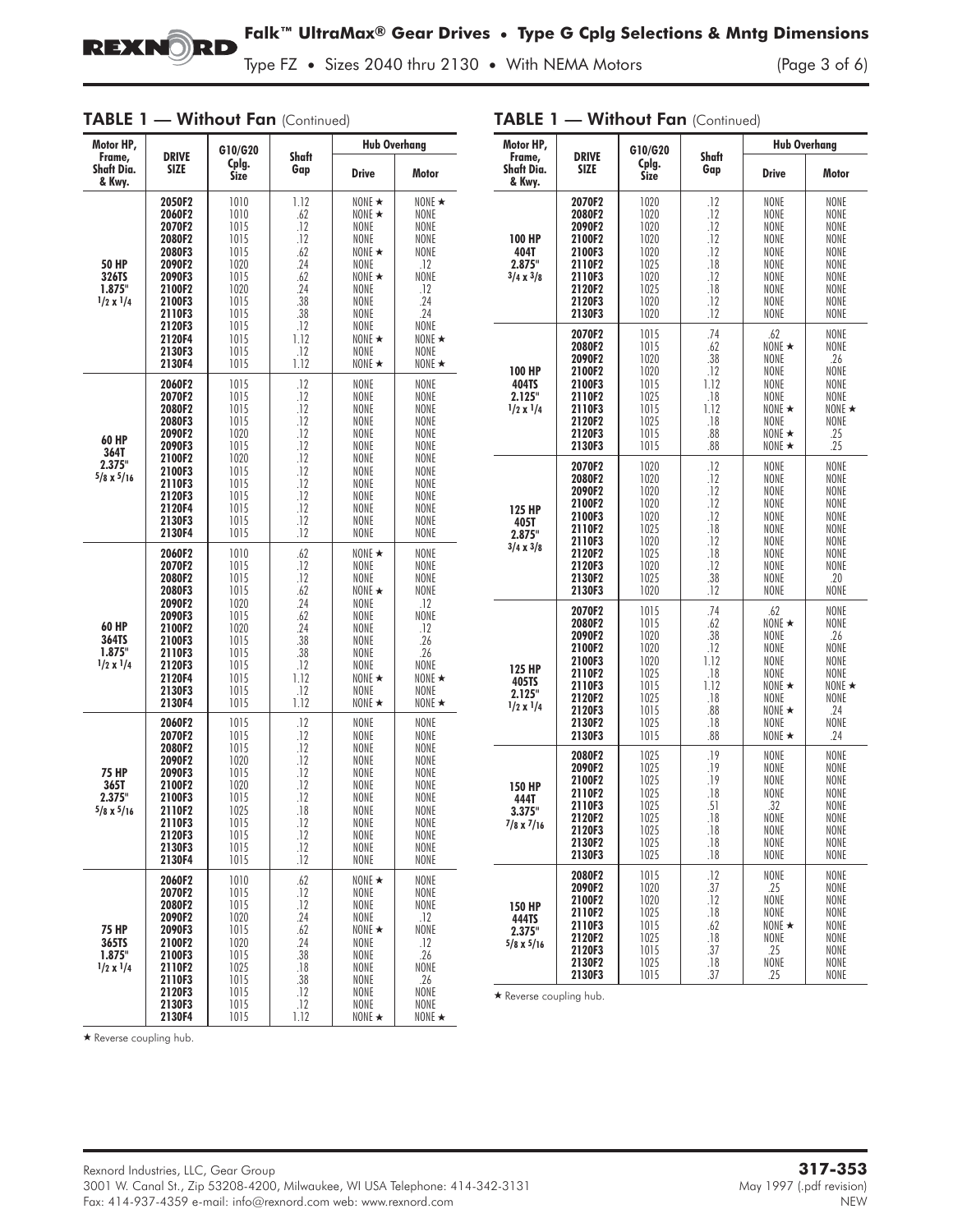

Type FZ • Sizes 2040 thru 2130 • With NEMA Motors

| IADLE<br><b>VVIIIIOUI FUII</b> (Continuea)          |                                                                                                                                          |                                                                                                              |                                                                                                   |                                                                                                                                                              |                                                                                                                            |  |
|-----------------------------------------------------|------------------------------------------------------------------------------------------------------------------------------------------|--------------------------------------------------------------------------------------------------------------|---------------------------------------------------------------------------------------------------|--------------------------------------------------------------------------------------------------------------------------------------------------------------|----------------------------------------------------------------------------------------------------------------------------|--|
| Motor HP,                                           | <b>DRIVE</b>                                                                                                                             | G10/G20                                                                                                      | <b>Shaft</b>                                                                                      | <b>Hub Overhang</b>                                                                                                                                          |                                                                                                                            |  |
| Frame,<br>Shaft Dia.<br>& Kwy.                      | <b>SIZE</b>                                                                                                                              | Cplg.<br>Size                                                                                                | Gap                                                                                               | <b>Drive</b>                                                                                                                                                 | Motor                                                                                                                      |  |
| <b>50 HP</b><br>326TS<br>1.875"<br>$1/2 \times 1/4$ | 2050F2<br>2060F2<br>2070F2<br>2080F2<br>2080F3<br>2090F2<br>2090F3<br>2100F2<br>2100F3<br>2110F3<br>2120F3<br>2120F4<br>2130F3<br>2130F4 | 1010<br>1010<br>1015<br>1015<br>1015<br>1020<br>1015<br>1020<br>1015<br>1015<br>1015<br>1015<br>1015<br>1015 | 1.12<br>.62<br>.12<br>.12<br>.62<br>.24<br>.62<br>.24<br>.38<br>.38<br>.12<br>1.12<br>.12<br>1.12 | NONE $\star$<br>NONE $\star$<br>NONE<br>NONE<br>NONE $\star$<br>NONE<br>NONE $\star$<br>NONE<br>NONE<br>NONE<br>NONE<br>NONE $\star$<br>NONE<br>NONE $\star$ | NONE *<br>NONE<br>NONE<br>NONE<br>NONE<br>.12<br>NONE<br>.12<br>.24<br>.24<br>NONE<br>NONE $\star$<br>NONE<br>NONE $\star$ |  |
| 60 HP<br>364T<br>2.375"<br>$5/8 \times 5/16$        | 2060F2<br>2070F2<br>2080F2<br>2080F3<br>2090F2<br>2090F3<br>2100F2<br>2100F3<br>2110F3<br>2120F3<br>2120F4<br>2130F3<br>2130F4           | 1015<br>1015<br>1015<br>1015<br>1020<br>1015<br>1020<br>1015<br>1015<br>1015<br>1015<br>1015<br>1015         | .12<br>.12<br>.12<br>.12<br>.12<br>.12<br>.12<br>.12<br>.12<br>.12<br>.12<br>.12<br>.12           | NONE<br>NONE<br>NONE<br>NONE<br>NONE<br>NONE<br>NONE<br>NONE<br>NONE<br>NONE<br>NONE<br>NONE<br>NONE                                                         | NONE<br>NONE<br>NONE<br>NONE<br>NONE<br>NONE<br>NONE<br>NONE<br>NONE<br>NONE<br>NONE<br>NONE<br>NONE                       |  |
| 60 HP<br>364TS<br>1.875"<br>$1/2 \times 1/4$        | 2060F2<br>2070F2<br>2080F2<br>2080F3<br>2090F2<br>2090F3<br>2100F2<br>2100F3<br>2110F3<br>2120F3<br>2120F4<br>2130F3<br>2130F4           | 1010<br>1015<br>1015<br>1015<br>1020<br>1015<br>1020<br>1015<br>1015<br>1015<br>1015<br>1015<br>1015         | .62<br>.12<br>.12<br>.62<br>.24<br>.62<br>.24<br>.38<br>.38<br>.12<br>1.12<br>.12<br>1.12         | NONE $\star$<br>NONE<br><b>NONE</b><br>NONE $\star$<br>NONE<br>NONE<br>NONE<br>NONE<br>NONE<br>NONE<br>NONE $\star$<br>NONE<br>NONE $\star$                  | NONE<br>NONE<br>NONE<br>NONE<br>.12<br>NONE<br>.12<br>.26<br>.26<br>NONE<br>NONE $\star$<br>NONE<br>NONE $\star$           |  |
| <b>75 HP</b><br>365T<br>2.375"<br>$5/8 \times 5/16$ | 2060F2<br>2070F2<br>2080F2<br>2090F2<br>2090F3<br>2100F2<br>2100F3<br>2110F2<br>2110F3<br>2120F3<br>2130F3<br>2130F4                     | 1015<br>1015<br>1015<br>1020<br>1015<br>1020<br>1015<br>1025<br>1015<br>1015<br>1015<br>1015                 | .12<br>.12<br>.12<br>.12<br>.12<br>.12<br>.12<br>.18<br>.12<br>.12<br>.12<br>.12                  | NONE<br>NONE<br>NONE<br>NONE<br>NONE<br>NONE<br>NONE<br>NONE<br>NONE<br>NONE<br>NONE<br>NONE                                                                 | NONE<br>NONE<br>NONE<br>NONE<br>NONE<br>NONE<br>NONE<br>NONE<br>NONE<br>NONE<br>NONE<br>NONE                               |  |
| 75 HP<br>365TS<br>1.875"<br>$1/2 \times 1/4$        | 2060F2<br>2070F2<br>2080F2<br>2090F2<br>2090F3<br>2100F2<br>2100F3<br>2110F2<br>2110F3<br>2120F3<br>2130F3<br>2130F4                     | 1010<br>1015<br>1015<br>1020<br>1015<br>1020<br>1015<br>1025<br>1015<br>1015<br>1015<br>1015                 | .62<br>.12<br>.12<br>.24<br>.62<br>.24<br>.38<br>.18<br>.38<br>.12<br>.12<br>1.12                 | NONE $\star$<br><b>NONE</b><br>NONE<br>NONE<br>NONE $\star$<br><b>NONE</b><br>NONE<br>NONE<br>NONE<br>NONE<br>NONE<br>NONE $\star$                           | NONE<br>NONE<br>NONE<br>.12<br>NONE<br>.12<br>.26<br>NONE<br>.26<br>NONE<br>NONE<br>NONE $\star$                           |  |

# TABLE 1 — Without Fan (Continued)

# TABLE 1 - Without Fan (Continued)

| Motor HP,                                             |                                                                                                            | G10/G20                                                                              |                                                                             | <b>Hub Overhang</b>                                                                                           |                                                                                                  |  |
|-------------------------------------------------------|------------------------------------------------------------------------------------------------------------|--------------------------------------------------------------------------------------|-----------------------------------------------------------------------------|---------------------------------------------------------------------------------------------------------------|--------------------------------------------------------------------------------------------------|--|
| Frame,<br><b>Shaft Dia.</b><br>& Kwy.                 | <b>DRIVE</b><br>SIZE                                                                                       | Cplg.<br><b>Size</b>                                                                 | Shaft<br>Gap                                                                | <b>Drive</b>                                                                                                  | Motor                                                                                            |  |
| 100 HP<br>404T<br>2.875"<br>$3/4 \times 3/8$          | 2070F2<br>2080F2<br>2090F2<br>2100F2<br>2100F3<br>2110F2<br>2110F3<br>2120F2<br>2120F3<br>2130F3           | 1020<br>1020<br>1020<br>1020<br>1020<br>1025<br>1020<br>1025<br>1020<br>1020         | .12<br>.12<br>.12<br>.12<br>.12<br>.18<br>.12<br>.18<br>.12<br>.12          | NONE<br>NONE<br>NONE<br>NONE<br>NONE<br>NONE<br>NONE<br>NONE<br>NONE<br>NONE                                  | NONE<br>NONE<br>NONE<br>NONE<br>NONE<br>NONE<br>NONE<br>NONE<br>NONE<br>NONE                     |  |
| 100 HP<br>404TS<br>2.125"<br>$1/2 \times 1/4$         | 2070F2<br>2080F2<br>2090F2<br>2100F2<br>2100F3<br>2110F2<br>2110F3<br>2120F2<br>2120F3<br>2130F3           | 1015<br>1015<br>1020<br>1020<br>1015<br>1025<br>1015<br>1025<br>1015<br>1015         | .74<br>.62<br>.38<br>.12<br>1.12<br>.18<br>1.12<br>.18<br>.88<br>.88        | .62<br>NONE $\star$<br>NONE<br>NONE<br>NONE<br>NONE<br>NONE $\star$<br>NONE<br>NONE $\star$<br>NONE $\star$   | <b>NONE</b><br>NONE<br>.26<br>NONE<br>NONE<br>NONE<br>NONE $\star$<br>NONE<br>.25<br>.25         |  |
| 125 HP<br>405T<br>2.875"<br>$3/4 \times 3/8$          | 2070F2<br>2080F2<br>2090F2<br>2100F2<br>2100F3<br>2110F2<br>2110F3<br>2120F2<br>2120F3<br>2130F2<br>2130F3 | 1020<br>1020<br>1020<br>1020<br>1020<br>1025<br>1020<br>1025<br>1020<br>1025<br>1020 | .12<br>.12<br>.12<br>.12<br>.12<br>.18<br>.12<br>.18<br>.12<br>.38<br>.12   | NONE<br>NONE<br>NONE<br>NONE<br>NONE<br>NONE<br>NONE<br>NONE<br>NONE<br>NONE<br>NONE                          | NONE<br>NONE<br>NONE<br>NONE<br>NONE<br>NONE<br>NONE<br>NONE<br>NONE<br>.20<br>NONE              |  |
| 125 HP<br>405TS<br>2.125"<br>$1/2 \times 1/4$         | 2070F2<br>2080F2<br>2090F2<br>2100F2<br>2100F3<br>2110F2<br>2110F3<br>2120F2<br>2120F3<br>2130F2<br>2130F3 | 1015<br>1015<br>1020<br>1020<br>1020<br>1025<br>1015<br>1025<br>1015<br>1025<br>1015 | .74<br>.62<br>.38<br>.12<br>1.12<br>.18<br>1.12<br>.18<br>.88<br>.18<br>.88 | .62<br>NONE ★<br>NONE<br>NONE<br>NONE<br>NONE<br>NONE $\star$<br>NONE<br>NONE $\star$<br>NONE<br>NONE $\star$ | <b>NONE</b><br>NONE<br>.26<br>NONE<br>NONE<br>NONE<br>NONE $\star$<br>NONE<br>.24<br>NONE<br>.24 |  |
| <b>150 HP</b><br>444T<br>3.375"<br>$7/8 \times 7/16$  | 2080F2<br>2090F2<br>2100F2<br>2110F2<br>2110F3<br>2120F2<br>2120F3<br>2130F2<br>2130F3                     | 1025<br>1025<br>1025<br>1025<br>1025<br>1025<br>1025<br>1025<br>1025                 | .19<br>.19<br>.19<br>.18<br>.51<br>.18<br>.18<br>.18<br>.18                 | NONE<br>NONE<br>NONE<br>NONE<br>.32<br>NONE<br>NONE<br>NONE<br><b>NONE</b>                                    | NONE<br>NONE<br>NONE<br>NONE<br>NONE<br>NONE<br>NONE<br>NONE<br>NONE                             |  |
| <b>150 HP</b><br>444TS<br>2.375"<br>$5/8 \times 5/16$ | 2080F2<br>2090F2<br>2100F2<br>2110F2<br>2110F3<br>2120F2<br>2120F3<br>2130F2<br>2130F3                     | 1015<br>1020<br>1020<br>1025<br>1015<br>1025<br>1015<br>1025<br>1015                 | .12<br>.37<br>.12<br>.18<br>.62<br>.18<br>.37<br>.18<br>.37                 | NONE<br>.25<br>NONE<br>NONE<br>NONE $\star$<br>NONE<br>.25<br>NONE<br>.25                                     | NONE<br>NONE<br><b>NONE</b><br><b>NONE</b><br>NONE<br>NONE<br>NONE<br><b>NONE</b><br>NONE        |  |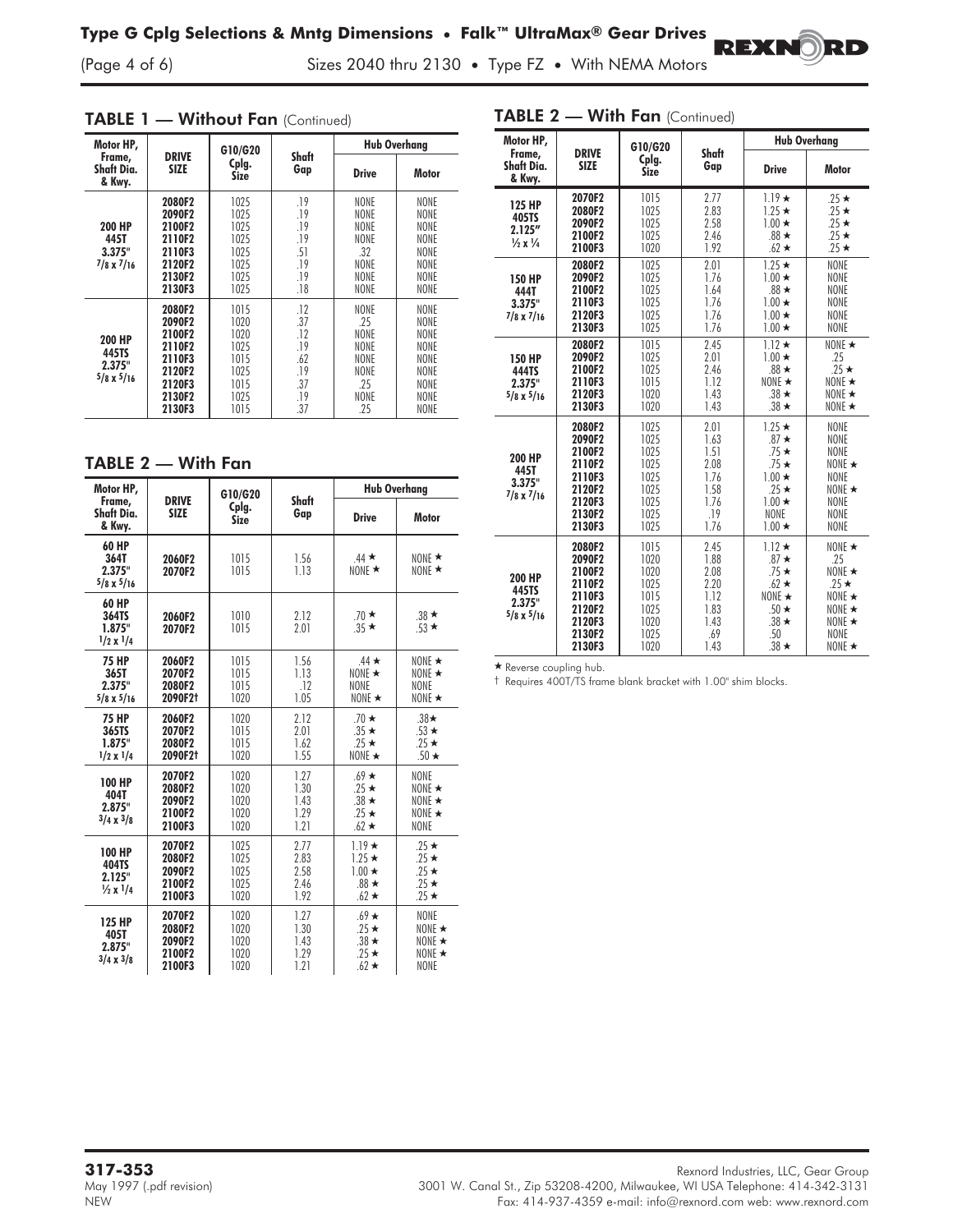Sizes 2040 thru 2130 • Type FZ • With NEMA Motors

|  |  |  |  |  | TABLE 1 - Without Fan (Continued) |
|--|--|--|--|--|-----------------------------------|
|--|--|--|--|--|-----------------------------------|

| Motor HP,                                      |                                                                                        | G10/G20                                                              |                                                             | <b>Hub Overhang</b>                                               |                                                                                                         |  |
|------------------------------------------------|----------------------------------------------------------------------------------------|----------------------------------------------------------------------|-------------------------------------------------------------|-------------------------------------------------------------------|---------------------------------------------------------------------------------------------------------|--|
| Frame,<br>Shaft Dia.<br>& Kwy.                 | <b>DRIVE</b><br>SIZE                                                                   | Cplg.<br>Size                                                        | Shaft<br>Gap                                                | <b>Drive</b>                                                      | Motor                                                                                                   |  |
| 200 HP<br>445T<br>3.375"<br>$7/8 \times 7/16$  | 2080F2<br>2090F2<br>2100F2<br>2110F2<br>2110F3<br>2120F2<br>2130F2<br>2130F3           | 1025<br>1025<br>1025<br>1025<br>1025<br>1025<br>1025<br>1025         | .19<br>.19<br>.19<br>.19<br>.51<br>.19<br>.19<br>.18        | NONE<br>NONE<br>NONE<br>NONE<br>.32<br>NONE<br>NONE<br>NONE       | NONE<br>NONE<br><b>NONE</b><br><b>NONE</b><br><b>NONE</b><br><b>NONE</b><br>NONE<br>NONE                |  |
| 200 HP<br>445TS<br>2.375"<br>$5/8 \times 5/16$ | 2080F2<br>2090F2<br>2100F2<br>2110F2<br>2110F3<br>2120F2<br>2120F3<br>2130F2<br>2130F3 | 1015<br>1020<br>1020<br>1025<br>1015<br>1025<br>1015<br>1025<br>1015 | .12<br>.37<br>.12<br>.19<br>.62<br>.19<br>.37<br>.19<br>.37 | NONE<br>.25<br>NONE<br>NONE<br>NONE<br>NONE<br>.25<br>NONE<br>.25 | <b>NONE</b><br>NONE<br><b>NONE</b><br><b>NONE</b><br>NONE<br><b>NONE</b><br><b>NONE</b><br>NONE<br>NONE |  |

TABLE 2 — With Fan

| Motor HP,                                              |                                                   | G10/G20                              |                                      | <b>Hub Overhang</b>                                                     |                                                                        |  |
|--------------------------------------------------------|---------------------------------------------------|--------------------------------------|--------------------------------------|-------------------------------------------------------------------------|------------------------------------------------------------------------|--|
| Frame,<br>Shaft Dia.<br>& Kwy.                         | <b>DRIVE</b><br><b>SIZE</b>                       | Cplg.<br><b>Size</b>                 | Shaft<br>Gap                         | <b>Drive</b>                                                            | <b>Motor</b>                                                           |  |
| 60 HP<br>364T<br>2.375"<br>$5/8 \times 5/16$           | 2060F2<br>2070F2                                  | 1015<br>1015                         | 1.56<br>1.13                         | $.44*$<br>NONE $\star$                                                  | NONE $\star$<br>NONE $\star$                                           |  |
| <b>60 HP</b><br>364TS<br>1.875"<br>$1/2 \times 1/4$    | 2060F2<br>2070F2                                  | 1010<br>1015                         | 2.12<br>2.01                         | $.70*$<br>$.35*$                                                        | $.38 \star$<br>$.53 \star$                                             |  |
| <b>75 HP</b><br>365T<br>2.375"<br>$5/8 \times 5/16$    | 2060F2<br>2070F2<br>2080F2<br>2090F2 <sup>+</sup> | 1015<br>1015<br>1015<br>1020         | 1.56<br>1.13<br>.12<br>1.05          | $.44 \star$<br>NONE $\star$<br>NONE<br>NONE $\star$                     | NONE $\star$<br>NONE $\star$<br><b>NONE</b><br>NONE $\star$            |  |
| <b>75 HP</b><br>365TS<br>1.875"<br>$1/2 \times 1/4$    | 2060F2<br>2070F2<br>2080F2<br>2090F2 <sup>+</sup> | 1020<br>1015<br>1015<br>1020         | 2.12<br>2.01<br>1.62<br>1.55         | $.70 \star$<br>$.35 \star$<br>$25 \star$<br>NONE $\star$                | $.38\star$<br>$.53 \star$<br>$.25 \star$<br>$.50 \star$                |  |
| 100 HP<br>404T<br>2.875"<br>$3/4 \times 3/8$           | 2070F2<br>2080F2<br>2090F2<br>2100F2<br>2100F3    | 1020<br>1020<br>1020<br>1020<br>1020 | 1.27<br>1.30<br>1.43<br>1.29<br>1.21 | $.69 \star$<br>$25 \star$<br>$.38 \star$<br>$25 \star$<br>$.62 \star$   | NONE<br>NONE $\star$<br>NONE $\star$<br>NONE $\star$<br><b>NONE</b>    |  |
| <b>100 HP</b><br>404TS<br>2.125"<br>$\frac{1}{2}x$ 1/4 | 2070F2<br>2080F2<br>2090F2<br>2100F2<br>2100F3    | 1025<br>1025<br>1025<br>1025<br>1020 | 2.77<br>2.83<br>2.58<br>2.46<br>1.92 | $1.19*$<br>$1.25 \star$<br>$1.00 \star$<br>$.88 \star$<br>$.62 \star$   | $.25 \star$<br>$.25 \star$<br>$.25 \star$<br>$.25 \star$<br>$25 \star$ |  |
| 125 HP<br>405T<br>2.875"<br>$3/4 \times 3/8$           | 2070F2<br>2080F2<br>2090F2<br>2100F2<br>2100F3    | 1020<br>1020<br>1020<br>1020<br>1020 | 1.27<br>1.30<br>1.43<br>1.29<br>1.21 | $.69 \star$<br>$.25 \star$<br>$.38 \star$<br>$.25 \star$<br>$.62 \star$ | NONE<br>NONE $\star$<br>NONE $\star$<br>NONE $\star$<br><b>NONE</b>    |  |

| Motor HP,                                                             |                                                                                        | G10/G20                                                              |                                                                     | <b>Hub Overhang</b>                                                                                                   |                                                                                                                                  |  |
|-----------------------------------------------------------------------|----------------------------------------------------------------------------------------|----------------------------------------------------------------------|---------------------------------------------------------------------|-----------------------------------------------------------------------------------------------------------------------|----------------------------------------------------------------------------------------------------------------------------------|--|
| Frame,<br>Shaft Dia.<br>& Kwv.                                        | <b>DRIVE</b><br><b>SIZE</b>                                                            | Cplg.<br><b>Size</b>                                                 | Shaft<br>Gap                                                        | <b>Drive</b>                                                                                                          | <b>Motor</b>                                                                                                                     |  |
| <b>125 HP</b><br>405TS<br>2.125''<br>$\frac{1}{2} \times \frac{1}{4}$ | 2070F2<br>2080F2<br>2090F2<br>2100F2<br>2100F3                                         | 1015<br>1025<br>1025<br>1025<br>1020                                 | 2.77<br>2.83<br>2.58<br>2.46<br>1.92                                | $1.19 \star$<br>$1.25 \star$<br>$1.00 \star$<br>$.88 \star$<br>$.62 \star$                                            | $25 \star$<br>$25 \star$<br>$.25 \star$<br>$25*$<br>$25 \star$                                                                   |  |
| <b>150 HP</b><br>444T<br>3.375"<br>$7/8 \times 7/16$                  | 2080F2<br>2090F2<br>2100F2<br>2110F3<br>2120F3<br>2130F3                               | 1025<br>1025<br>1025<br>1025<br>1025<br>1025                         | 2.01<br>1.76<br>1.64<br>1.76<br>1.76<br>1.76                        | $1.25 \star$<br>$1.00 \star$<br>$.88 \star$<br>$1.00 \star$<br>$1.00 \star$<br>$1.00 \star$                           | <b>NONE</b><br><b>NONF</b><br><b>NONE</b><br>NONE<br><b>NONE</b><br>NONE                                                         |  |
| <b>150 HP</b><br>444TS<br>2.375"<br>$5/8 \times 5/16$                 | 2080F2<br>2090F2<br>2100F2<br>2110F3<br>2120F3<br>2130F3                               | 1015<br>1025<br>1025<br>1015<br>1020<br>1020                         | 2.45<br>2.01<br>2.46<br>1.12<br>1.43<br>1.43                        | $1.12 \star$<br>$1.00 \star$<br>$.88 \star$<br>NONE $\star$<br>$.38 \star$<br>$.38 \star$                             | NONF $\star$<br>.25<br>$.25 \star$<br>NONF $\star$<br>NONE $\star$<br>NONE $\star$                                               |  |
| <b>200 HP</b><br>445T<br>3.375"<br>$7/8 \times 7/16$                  | 2080F2<br>2090F2<br>2100F2<br>2110F2<br>2110F3<br>2120F2<br>2120F3<br>2130F2<br>2130F3 | 1025<br>1025<br>1025<br>1025<br>1025<br>1025<br>1025<br>1025<br>1025 | 2.01<br>1.63<br>1.51<br>2.08<br>1.76<br>1.58<br>1.76<br>.19<br>1.76 | $1.25 \star$<br>$.87 \star$<br>$.75*$<br>$.75*$<br>$1.00 \star$<br>$25 \star$<br>$1.00 \star$<br>NONE<br>$1.00 \star$ | <b>NONE</b><br><b>NONE</b><br>NONE<br>NONE $\star$<br>NONE<br>NONF $\star$<br><b>NONE</b><br>NONE<br><b>NONE</b>                 |  |
| <b>200 HP</b><br>445TS<br>2.375"<br>$5/8 \times 5/16$                 | 2080F2<br>2090F2<br>2100F2<br>2110F2<br>2110F3<br>2120F2<br>2120F3<br>2130F2<br>2130F3 | 1015<br>1020<br>1020<br>1025<br>1015<br>1025<br>1020<br>1025<br>1020 | 2.45<br>1.88<br>2.08<br>2.20<br>1.12<br>1.83<br>1.43<br>.69<br>1.43 | $1.12 \star$<br>$.87 \star$<br>$.75*$<br>$.62 \star$<br>NONE $\star$<br>$.50*$<br>$.38 \star$<br>.50<br>$.38 \star$   | NONE $\star$<br>25<br>NONE $\star$<br>$.25 \star$<br>NONE $\star$<br>NONE $\star$<br>NONE $\star$<br><b>NONE</b><br>NONE $\star$ |  |

\* Reverse coupling hub.

† Requires 400T/TS frame blank bracket with 1.00" shim blocks.

# TABLE 2 - With Fan (Continued)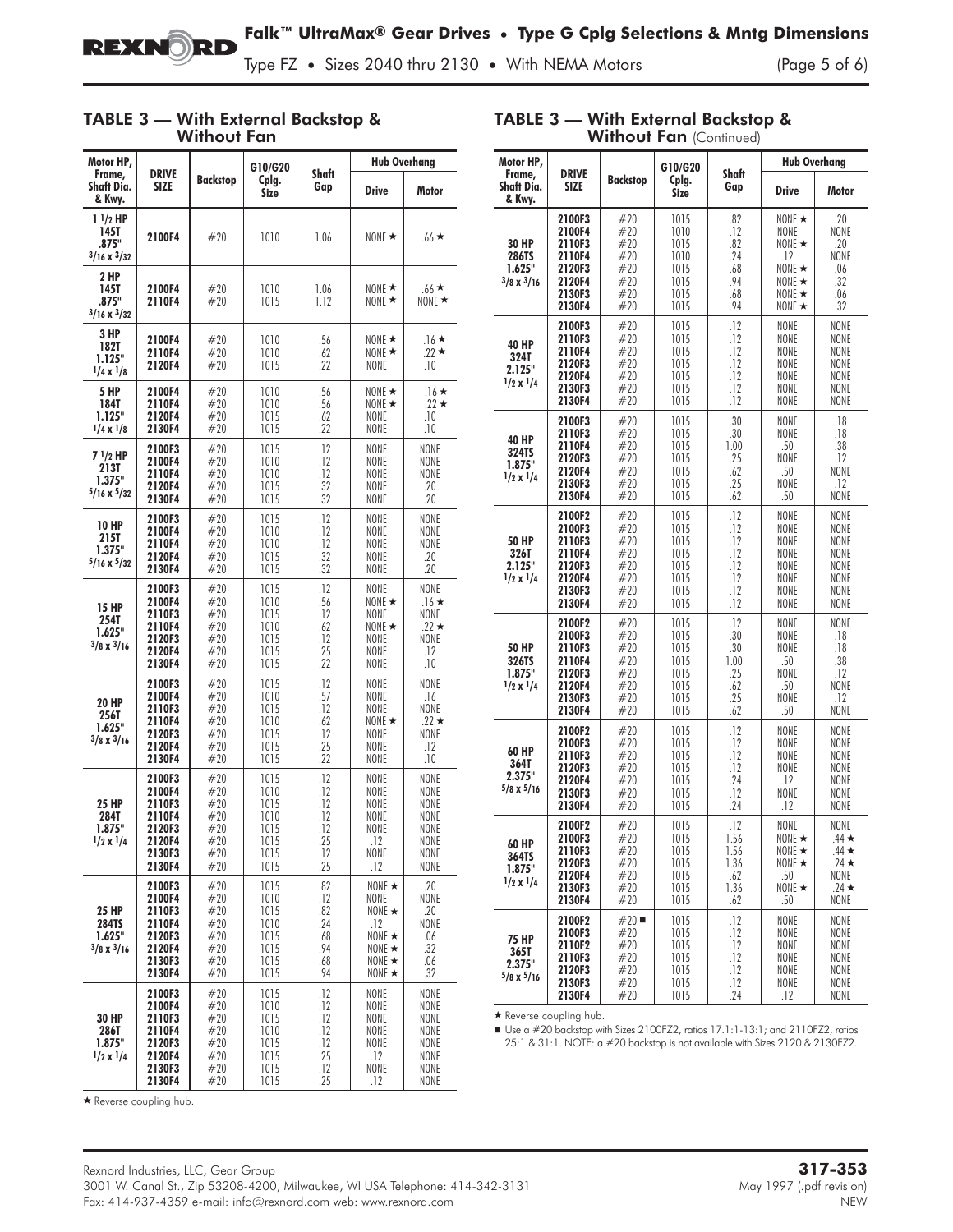

 $\overline{a}$ 

TABLE 3 — With External Backstop &

Type FZ • Sizes 2040 thru 2130 • With NEMA Motors

#### TABLE 3 — With External Backstop & Without Fan

| Motor HP,<br>Frame,                               | <b>DRIVE</b>                                                                 |                                                      | G10/G20                                                      | Shaft                                                | <b>Hub Overhang</b>                                                                                         |                                                              |
|---------------------------------------------------|------------------------------------------------------------------------------|------------------------------------------------------|--------------------------------------------------------------|------------------------------------------------------|-------------------------------------------------------------------------------------------------------------|--------------------------------------------------------------|
| Shaft Dia.<br>& Kwy.                              | <b>SIZE</b>                                                                  | <b>Backstop</b>                                      | Cplg.<br><b>Size</b>                                         | Gap                                                  | <b>Drive</b>                                                                                                | Motor                                                        |
| $11/2$ HP<br>145T<br>.875"<br>$3/16 \times 3/32$  | 2100F4                                                                       | #20                                                  | 1010                                                         | 1.06                                                 | NONE $\star$                                                                                                | $.66 \star$                                                  |
| 2 HP<br>145T<br>.875"<br>$3/16 \times 3/32$       | 2100F4<br>2110F4                                                             | #20<br>#20                                           | 1010<br>1015                                                 | 1.06<br>1.12                                         | NONE $\star$<br>NONE $\star$                                                                                | $.66*$<br>NONE $\star$                                       |
| 3 HP<br>182T<br>1.125"<br>$1/4 \times 1/8$        | 2100F4<br>2110F4<br>2120F4                                                   | #20<br>#20<br>#20                                    | 1010<br>1010<br>1015                                         | .56<br>.62<br>.22                                    | NONE $\star$<br>NONE $\star$<br>NONE                                                                        | $.16*$<br>$.22 \star$<br>.10                                 |
| <b>5 HP</b><br>184T<br>1.125"<br>$1/4 \times 1/8$ | 2100F4<br>2110F4<br>2120F4<br>2130F4                                         | #20<br>#20<br>#20<br>#20                             | 1010<br>1010<br>1015<br>1015                                 | .56<br>.56<br>.62<br>.22                             | NONE $\star$<br>NONE $\star$<br><b>NONE</b><br>NONE                                                         | $.16*$<br>$.22 \star$<br>.10<br>.10                          |
| 7 1/2 HP<br>213T<br>1.375"<br>$5/16 \times 5/32$  | 2100F3<br>2100F4<br>2110F4<br>2120F4<br>2130F4                               | #20<br>#20<br>#20<br>#20<br>#20                      | 1015<br>1010<br>1010<br>1015<br>1015                         | .12<br>.12<br>.12<br>.32<br>.32                      | NONE<br>NONE<br>NONE<br><b>NONE</b><br><b>NONE</b>                                                          | NONE<br>NONE<br>NONE<br>.20<br>.20                           |
| 10 HP<br>215T<br>1.375"<br>$5/16 \times 5/32$     | 2100F3<br>2100F4<br>2110F4<br>2120F4<br>2130F4                               | #20<br>#20<br>#20<br>#20<br>#20                      | 1015<br>1010<br>1010<br>1015<br>1015                         | .12<br>.12<br>.12<br>.32<br>.32                      | NONE<br>NONE<br>NONE<br>NONE<br>NONE                                                                        | NONE<br>NONE<br>NONE<br>.20<br>.20                           |
| 15 HP<br>254T<br>1.625"<br>$3/8 \times 3/16$      | 2100F3<br>2100F4<br>2110F3<br>2110F4<br>2120F3<br>2120F4<br>2130F4           | #20<br>#20<br>#20<br>#20<br>#20<br>#20<br>#20        | 1015<br>1010<br>1015<br>1010<br>1015<br>1015<br>1015         | .12<br>.56<br>.12<br>.62<br>.12<br>.25<br>.22        | NONE<br>NONE $\star$<br>NONE<br>NONE $\star$<br>NONE<br>NONE<br>NONE                                        | NONE<br>$.16*$<br>NONE<br>$.22 \star$<br>NONE<br>.12<br>.10  |
| 20 HP<br>256T<br>1.625"<br>$3/8 \times 3/16$      | 2100F3<br>2100F4<br>2110F3<br>2110F4<br>2120F3<br>2120F4<br>2130F4           | #20<br>#20<br>#20<br>#20<br>#20<br>#20<br>#20        | 1015<br>1010<br>1015<br>1010<br>1015<br>1015<br>1015         | .12<br>.57<br>.12<br>.62<br>.12<br>.25<br>.22        | NONE<br>NONE<br>NONE<br>NONE $\star$<br>NONE<br>NONE<br>NONE                                                | NONE<br>.16<br>NONE<br>$.22 \star$<br>NONE<br>.12<br>.10     |
| 25 HP<br>284T<br>1.875"<br>1/2 x 1/4              | 2100F3<br>2100F4<br>2110F3<br>2110F4<br>2120F3<br>2120F4<br>2130F3<br>2130F4 | #20<br>#20<br>#20<br>#20<br>#20<br>#20<br>#20<br>#20 | 1015<br>1010<br>1015<br>1010<br>1015<br>1015<br>1015<br>1015 | .12<br>.12<br>.12<br>.12<br>.12<br>.25<br>.12<br>.25 | NONE<br>NONE<br>NONE<br>NONE<br>NONE<br>.12<br>NONE<br>.12                                                  | NONE<br>NONE<br>NONE<br>NONE<br>NONE<br>NONE<br>NONE<br>NONE |
| 25 HP<br>284TS<br>1.625"<br>$3/8 \times 3/16$     | 2100F3<br>2100F4<br>2110F3<br>2110F4<br>2120F3<br>2120F4<br>2130F3<br>2130F4 | #20<br>#20<br>#20<br>#20<br>#20<br>#20<br>#20<br>#20 | 1015<br>1010<br>1015<br>1010<br>1015<br>1015<br>1015<br>1015 | .82<br>.12<br>.82<br>.24<br>.68<br>.94<br>.68<br>.94 | NONE $\star$<br>NONE<br>NONE $\star$<br>.12<br>NONE $\star$<br>NONE $\star$<br>NONE $\star$<br>NONE $\star$ | .20<br>NONE<br>.20<br>NONE<br>.06<br>.32<br>.06<br>.32       |
| 30 HP<br>286T<br>1.875"<br>$1/2 \times 1/4$       | 2100F3<br>2100F4<br>2110F3<br>2110F4<br>2120F3<br>2120F4<br>2130F3<br>2130F4 | #20<br>#20<br>#20<br>#20<br>#20<br>#20<br>#20<br>#20 | 1015<br>1010<br>1015<br>1010<br>1015<br>1015<br>1015<br>1015 | .12<br>.12<br>.12<br>.12<br>.12<br>.25<br>.12<br>.25 | <b>NONE</b><br>NONE<br>NONE<br>NONE<br>NONE<br>.12<br>NONE<br>.12                                           | NONE<br>NONE<br>NONE<br>NONE<br>NONE<br>NONE<br>NONE<br>NONE |

| <b>Without Fan</b> (Continued)                                                                                               |                                                                              |                                                      |                                                              |                                                       |                                                                                                             |                                                                                  |  |
|------------------------------------------------------------------------------------------------------------------------------|------------------------------------------------------------------------------|------------------------------------------------------|--------------------------------------------------------------|-------------------------------------------------------|-------------------------------------------------------------------------------------------------------------|----------------------------------------------------------------------------------|--|
| Motor HP.                                                                                                                    |                                                                              |                                                      | G10/G20                                                      |                                                       | <b>Hub Overhang</b>                                                                                         |                                                                                  |  |
| Frame,<br>Shaft Dia.<br>& Kwy.                                                                                               | <b>DRIVE</b><br><b>SIZE</b>                                                  | <b>Backstop</b>                                      | Cplg.<br>Size                                                | Shaft<br>Gap                                          | <b>Drive</b>                                                                                                | Motor                                                                            |  |
| <b>30 HP</b><br>286TS<br>1.625"<br>$3/8 \times 3/16$                                                                         | 2100F3<br>2100F4<br>2110F3<br>2110F4<br>2120F3<br>2120F4<br>2130F3<br>2130F4 | #20<br>#20<br>#20<br>#20<br>#20<br>#20<br>#20<br>#20 | 1015<br>1010<br>1015<br>1010<br>1015<br>1015<br>1015<br>1015 | .82<br>.12<br>.82<br>.24<br>.68<br>.94<br>.68<br>.94  | NONE $\star$<br>NONE<br>NONE $\star$<br>.12<br>NONE $\star$<br>NONE $\star$<br>NONE $\star$<br>NONE $\star$ | .20<br>NONE<br>.20<br>NONE<br>.06<br>.32<br>.06<br>.32                           |  |
| <b>40 HP</b><br>324T<br>2.125"<br>$1/2 \times 1/4$                                                                           | 2100F3<br>2110F3<br>2110F4<br>2120F3<br>2120F4<br>2130F3<br>2130F4           | #20<br>#20<br>#20<br>#20<br>#20<br>#20<br>#20        | 1015<br>1015<br>1015<br>1015<br>1015<br>1015<br>1015         | .12<br>.12<br>.12<br>.12<br>.12<br>.12<br>.12         | NONE<br>NONE<br>NONE<br>NONE<br>NONE<br>NONE<br>NONE                                                        | NONE<br>NONE<br>NONE<br>NONE<br>NONE<br>NONE<br>NONE                             |  |
| <b>40 HP</b><br>324TS<br>1.875"<br>$1/2 \times 1/4$                                                                          | 2100F3<br>2110F3<br>2110F4<br>2120F3<br>2120F4<br>2130F3<br>2130F4           | #20<br>#20<br>#20<br>#20<br>#20<br>#20<br>#20        | 1015<br>1015<br>1015<br>1015<br>1015<br>1015<br>1015         | .30<br>.30<br>1.00<br>.25<br>.62<br>.25<br>.62        | NONE<br>NONE<br>.50<br>NONE<br>.50<br>NONE<br>.50                                                           | .18<br>.18<br>.38<br>.12<br>NONE<br>.12<br>NONE                                  |  |
| <b>50 HP</b><br>326T<br>2.125"<br>$1/2 \times 1/4$                                                                           | 2100F2<br>2100F3<br>2110F3<br>2110F4<br>2120F3<br>2120F4<br>2130F3<br>2130F4 | #20<br>#20<br>#20<br>#20<br>#20<br>#20<br>#20<br>#20 | 1015<br>1015<br>1015<br>1015<br>1015<br>1015<br>1015<br>1015 | .12<br>.12<br>.12<br>.12<br>.12<br>.12<br>.12<br>.12  | NONE<br>NONE<br>NONE<br>NONE<br>NONE<br>NONE<br>NONE<br>NONE                                                | NONE<br>NONE<br>NONE<br>NONE<br>NONE<br>NONE<br>NONE<br>NONE                     |  |
| 2100F2<br>2100F3<br>2110F3<br>50 HP<br>326TS<br>2110F4<br>1.875"<br>2120F3<br>$1/2 \times 1/4$<br>2120F4<br>2130F3<br>2130F4 |                                                                              | #20<br>#20<br>#20<br>#20<br>#20<br>#20<br>#20<br>#20 | 1015<br>1015<br>1015<br>1015<br>1015<br>1015<br>1015<br>1015 | .12<br>.30<br>.30<br>1.00<br>.25<br>.62<br>.25<br>.62 | NONE<br>NONE<br>NONE<br>.50<br>NONE<br>.50<br>NONE<br>.50                                                   | NONE<br>.18<br>.18<br>.38<br>.12<br>NONE<br>.12<br>NONE                          |  |
| 60 HP<br>364T<br>2.375"<br>$5/8 \times 5/16$                                                                                 | 2100F2<br>2100F3<br>2110F3<br>2120F3<br>2120F4<br>2130F3<br>2130F4           | #20<br>#20<br>#20<br>#20<br>#20<br>#20<br>#20        | 1015<br>1015<br>1015<br>1015<br>1015<br>1015<br>1015         | .12<br>.12<br>.12<br>.12<br>.24<br>.12<br>.24         | NONE<br>NONE<br>NONE<br>NONE<br>.12<br>NONE<br>.12                                                          | NONE<br>NONE<br>NONE<br>NONE<br>NONE<br>NONE<br>NONE                             |  |
| 60 HP<br>364TS<br>1.875"<br>$1/2 \times 1/4$                                                                                 | 2100F2<br>2100F3<br>2110F3<br>2120F3<br>2120F4<br>2130F3<br>2130F4           | #20<br>#20<br>#20<br>#20<br>#20<br>#20<br>#20        | 1015<br>1015<br>1015<br>1015<br>1015<br>1015<br>1015         | 12<br>1.56<br>1.56<br>1.36<br>.62<br>1.36<br>.62      | NONE<br>NONE $\star$<br>NONE $\star$<br>NONE $\star$<br>.50<br>NONE $\star$<br>.50                          | NONE<br>$.44 \star$<br>$.44 \star$<br>$.24 \star$<br>NONE<br>$.24 \star$<br>NONE |  |
| <b>75 HP</b><br>365T<br>2.375"<br>$5/8 \times 5/16$                                                                          | 2100F2<br>2100F3<br>2110F2<br>2110F3<br>2120F3<br>2130F3<br>2130F4           | #20<br>#20<br>#20<br>#20<br>#20<br>#20<br>#20        | 1015<br>1015<br>1015<br>1015<br>1015<br>1015<br>1015         | .12<br>.12<br>.12<br>.12<br>.12<br>.12<br>.24         | NONE<br>NONE<br><b>NONF</b><br>NONE<br>NONE<br>NONE<br>.12                                                  | NONE<br>NONE<br>NONE<br>NONE<br>NONE<br>NONE<br>NONE                             |  |

\* Reverse coupling hub.

■ Use a #20 backstop with Sizes 2100FZ2, ratios 17.1:1-13:1; and 2110FZ2, ratios 25:1 & 31:1. NOTE: a #20 backstop is not available with Sizes 2120 & 2130FZ2.